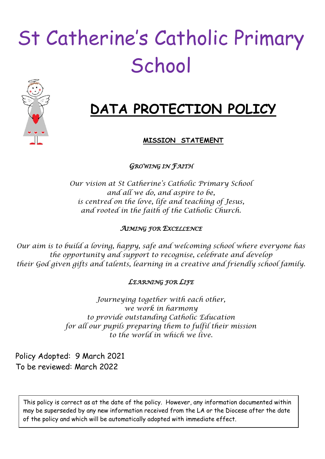# St Catherine's Catholic Primary **School**



# **DATA PROTECTION POLICY**

# **MISSION STATEMENT**

*GROWING IN FAITH* 

*Our vision at St Catherine's Catholic Primary School and all we do, and aspire to be, is centred on the love, life and teaching of Jesus, and rooted in the faith of the Catholic Church.*

### *AIMING FOR EXCELLENCE*

*Our aim is to build a loving, happy, safe and welcoming school where everyone has the opportunity and support to recognise, celebrate and develop their God given gifts and talents, learning in a creative and friendly school family.*

# *LEARNING FOR LIFE*

*Journeying together with each other, we work in harmony to provide outstanding Catholic Education for all our pupils preparing them to fulfil their mission to the world in which we live.*

Policy Adopted: 9 March 2021 To be reviewed: March 2022

This policy is correct as at the date of the policy. However, any information documented within may be superseded by any new information received from the LA or the Diocese after the date of the policy and which will be automatically adopted with immediate effect.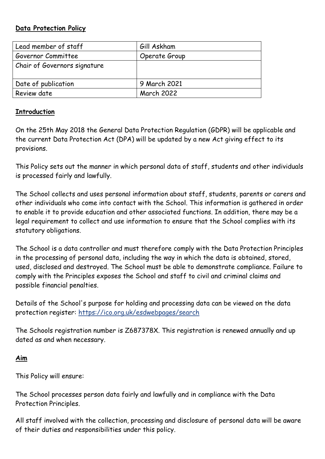#### **Data Protection Policy**

| Lead member of staff         | Gill Askham       |
|------------------------------|-------------------|
| Governor Committee           | Operate Group     |
| Chair of Governors signature |                   |
| Date of publication          | 9 March 2021      |
| Review date                  | <b>March 2022</b> |

#### **Introduction**

On the 25th May 2018 the General Data Protection Regulation (GDPR) will be applicable and the current Data Protection Act (DPA) will be updated by a new Act giving effect to its provisions.

This Policy sets out the manner in which personal data of staff, students and other individuals is processed fairly and lawfully.

The School collects and uses personal information about staff, students, parents or carers and other individuals who come into contact with the School. This information is gathered in order to enable it to provide education and other associated functions. In addition, there may be a legal requirement to collect and use information to ensure that the School complies with its statutory obligations.

The School is a data controller and must therefore comply with the Data Protection Principles in the processing of personal data, including the way in which the data is obtained, stored, used, disclosed and destroyed. The School must be able to demonstrate compliance. Failure to comply with the Principles exposes the School and staff to civil and criminal claims and possible financial penalties.

Details of the School's purpose for holding and processing data can be viewed on the data protection register:<https://ico.org.uk/esdwebpages/search>

The Schools registration number is Z687378X. This registration is renewed annually and up dated as and when necessary.

#### **Aim**

This Policy will ensure:

The School processes person data fairly and lawfully and in compliance with the Data Protection Principles.

All staff involved with the collection, processing and disclosure of personal data will be aware of their duties and responsibilities under this policy.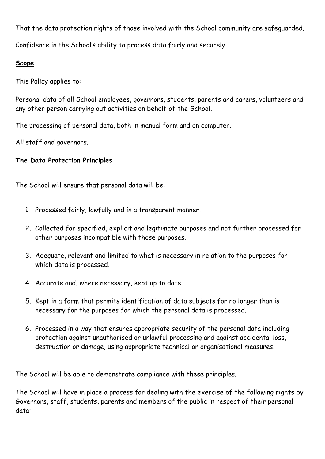That the data protection rights of those involved with the School community are safeguarded.

Confidence in the School's ability to process data fairly and securely.

#### **Scope**

This Policy applies to:

Personal data of all School employees, governors, students, parents and carers, volunteers and any other person carrying out activities on behalf of the School.

The processing of personal data, both in manual form and on computer.

All staff and governors.

# **The Data Protection Principles**

The School will ensure that personal data will be:

- 1. Processed fairly, lawfully and in a transparent manner.
- 2. Collected for specified, explicit and legitimate purposes and not further processed for other purposes incompatible with those purposes.
- 3. Adequate, relevant and limited to what is necessary in relation to the purposes for which data is processed.
- 4. Accurate and, where necessary, kept up to date.
- 5. Kept in a form that permits identification of data subjects for no longer than is necessary for the purposes for which the personal data is processed.
- 6. Processed in a way that ensures appropriate security of the personal data including protection against unauthorised or unlawful processing and against accidental loss, destruction or damage, using appropriate technical or organisational measures.

The School will be able to demonstrate compliance with these principles.

The School will have in place a process for dealing with the exercise of the following rights by Governors, staff, students, parents and members of the public in respect of their personal data: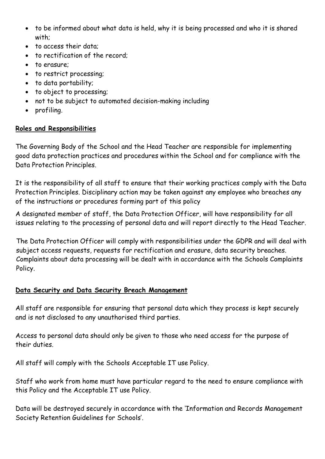- to be informed about what data is held, why it is being processed and who it is shared with;
- to access their data;
- to rectification of the record:
- to erasure;
- to restrict processing;
- to data portability;
- to object to processing;
- not to be subject to automated decision-making including
- profiling.

#### **Roles and Responsibilities**

The Governing Body of the School and the Head Teacher are responsible for implementing good data protection practices and procedures within the School and for compliance with the Data Protection Principles.

It is the responsibility of all staff to ensure that their working practices comply with the Data Protection Principles. Disciplinary action may be taken against any employee who breaches any of the instructions or procedures forming part of this policy

A designated member of staff, the Data Protection Officer, will have responsibility for all issues relating to the processing of personal data and will report directly to the Head Teacher.

The Data Protection Officer will comply with responsibilities under the GDPR and will deal with subject access requests, requests for rectification and erasure, data security breaches. Complaints about data processing will be dealt with in accordance with the Schools Complaints Policy.

#### **Data Security and Data Security Breach Management**

All staff are responsible for ensuring that personal data which they process is kept securely and is not disclosed to any unauthorised third parties.

Access to personal data should only be given to those who need access for the purpose of their duties.

All staff will comply with the Schools Acceptable IT use Policy.

Staff who work from home must have particular regard to the need to ensure compliance with this Policy and the Acceptable IT use Policy.

Data will be destroyed securely in accordance with the 'Information and Records Management Society Retention Guidelines for Schools'.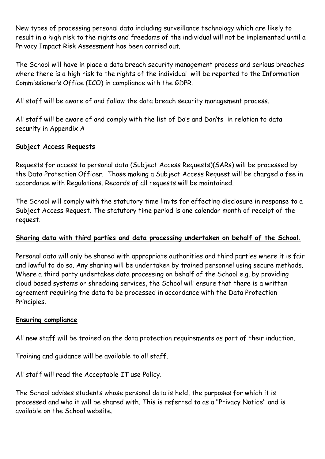New types of processing personal data including surveillance technology which are likely to result in a high risk to the rights and freedoms of the individual will not be implemented until a Privacy Impact Risk Assessment has been carried out.

The School will have in place a data breach security management process and serious breaches where there is a high risk to the rights of the individual will be reported to the Information Commissioner's Office (ICO) in compliance with the GDPR.

All staff will be aware of and follow the data breach security management process.

All staff will be aware of and comply with the list of Do's and Don'ts in relation to data security in Appendix A

#### **Subject Access Requests**

Requests for access to personal data (Subject Access Requests)(SARs) will be processed by the Data Protection Officer. Those making a Subject Access Request will be charged a fee in accordance with Regulations. Records of all requests will be maintained.

The School will comply with the statutory time limits for effecting disclosure in response to a Subject Access Request. The statutory time period is one calendar month of receipt of the request.

# **Sharing data with third parties and data processing undertaken on behalf of the School.**

Personal data will only be shared with appropriate authorities and third parties where it is fair and lawful to do so. Any sharing will be undertaken by trained personnel using secure methods. Where a third party undertakes data processing on behalf of the School e.g. by providing cloud based systems or shredding services, the School will ensure that there is a written agreement requiring the data to be processed in accordance with the Data Protection Principles.

#### **Ensuring compliance**

All new staff will be trained on the data protection requirements as part of their induction.

Training and guidance will be available to all staff.

All staff will read the Acceptable IT use Policy.

The School advises students whose personal data is held, the purposes for which it is processed and who it will be shared with. This is referred to as a "Privacy Notice" and is available on the School website.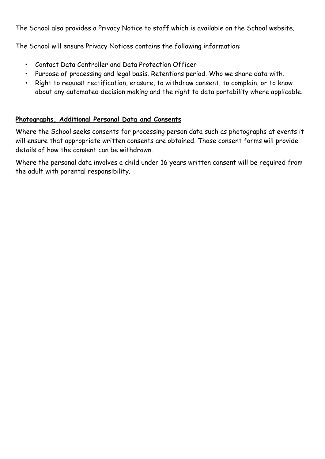The School also provides a Privacy Notice to staff which is available on the School website.

The School will ensure Privacy Notices contains the following information:

- Contact Data Controller and Data Protection Officer
- Purpose of processing and legal basis. Retentions period. Who we share data with.
- Right to request rectification, erasure, to withdraw consent, to complain, or to know about any automated decision making and the right to data portability where applicable.

# **Photographs, Additional Personal Data and Consents**

Where the School seeks consents for processing person data such as photographs at events it will ensure that appropriate written consents are obtained. Those consent forms will provide details of how the consent can be withdrawn.

Where the personal data involves a child under 16 years written consent will be required from the adult with parental responsibility.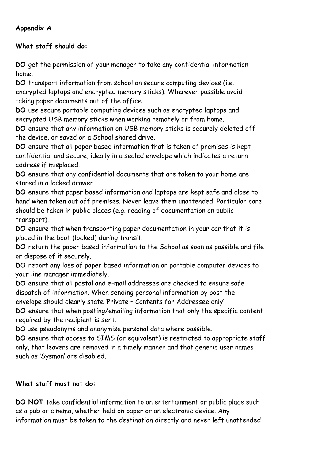# **Appendix A**

# **What staff should do:**

**DO** get the permission of your manager to take any confidential information home.

**DO** transport information from school on secure computing devices (i.e. encrypted laptops and encrypted memory sticks). Wherever possible avoid taking paper documents out of the office.

**DO** use secure portable computing devices such as encrypted laptops and encrypted USB memory sticks when working remotely or from home.

**DO** ensure that any information on USB memory sticks is securely deleted off the device, or saved on a School shared drive.

**DO** ensure that all paper based information that is taken of premises is kept confidential and secure, ideally in a sealed envelope which indicates a return address if misplaced.

**DO** ensure that any confidential documents that are taken to your home are stored in a locked drawer.

**DO** ensure that paper based information and laptops are kept safe and close to hand when taken out off premises. Never leave them unattended. Particular care should be taken in public places (e.g. reading of documentation on public transport).

**DO** ensure that when transporting paper documentation in your car that it is placed in the boot (locked) during transit.

**DO** return the paper based information to the School as soon as possible and file or dispose of it securely.

**DO** report any loss of paper based information or portable computer devices to your line manager immediately.

**DO** ensure that all postal and e-mail addresses are checked to ensure safe dispatch of information. When sending personal information by post the envelope should clearly state 'Private – Contents for Addressee only'.

**DO** ensure that when posting/emailing information that only the specific content required by the recipient is sent.

**DO** use pseudonyms and anonymise personal data where possible.

**DO** ensure that access to SIMS (or equivalent) is restricted to appropriate staff only, that leavers are removed in a timely manner and that generic user names such as 'Sysman' are disabled.

# **What staff must not do:**

**DO NOT** take confidential information to an entertainment or public place such as a pub or cinema, whether held on paper or an electronic device. Any information must be taken to the destination directly and never left unattended